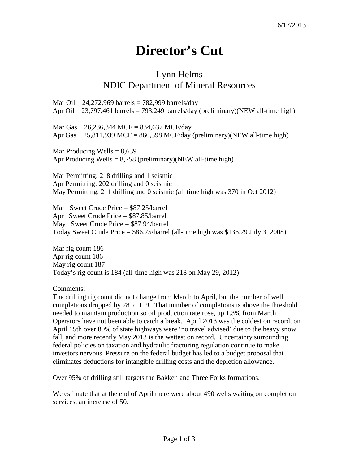## **Director's Cut**

## Lynn Helms NDIC Department of Mineral Resources

Mar Oil 24,272,969 barrels = 782,999 barrels/day Apr Oil 23,797,461 barrels = 793,249 barrels/day (preliminary)(NEW all-time high) Mar Gas 26,236,344 MCF = 834,637 MCF/day Apr Gas  $25,811,939$  MCF = 860,398 MCF/day (preliminary)(NEW all-time high) Mar Producing Wells  $= 8,639$ 

Apr Producing Wells  $= 8,758$  (preliminary)(NEW all-time high)

Mar Permitting: 218 drilling and 1 seismic Apr Permitting: 202 drilling and 0 seismic May Permitting: 211 drilling and 0 seismic (all time high was 370 in Oct 2012)

Mar Sweet Crude Price = \$87.25/barrel Apr Sweet Crude Price = \$87.85/barrel May Sweet Crude Price = \$87.94/barrel Today Sweet Crude Price = \$86.75/barrel (all-time high was \$136.29 July 3, 2008)

Mar rig count 186 Apr rig count 186 May rig count 187 Today's rig count is 184 (all-time high was 218 on May 29, 2012)

Comments:

The drilling rig count did not change from March to April, but the number of well completions dropped by 28 to 119. That number of completions is above the threshold needed to maintain production so oil production rate rose, up 1.3% from March. Operators have not been able to catch a break. April 2013 was the coldest on record, on April 15th over 80% of state highways were 'no travel advised' due to the heavy snow fall, and more recently May 2013 is the wettest on record. Uncertainty surrounding federal policies on taxation and hydraulic fracturing regulation continue to make investors nervous. Pressure on the federal budget has led to a budget proposal that eliminates deductions for intangible drilling costs and the depletion allowance.

Over 95% of drilling still targets the Bakken and Three Forks formations.

We estimate that at the end of April there were about 490 wells waiting on completion services, an increase of 50.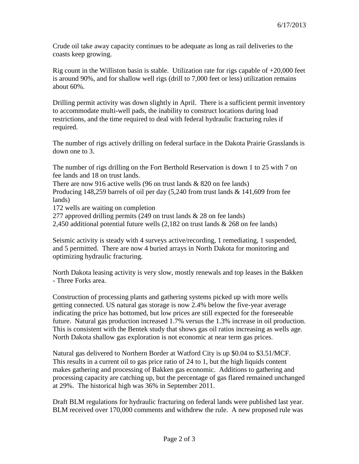Crude oil take away capacity continues to be adequate as long as rail deliveries to the coasts keep growing.

Rig count in the Williston basin is stable. Utilization rate for rigs capable of  $+20,000$  feet is around 90%, and for shallow well rigs (drill to 7,000 feet or less) utilization remains about 60%.

Drilling permit activity was down slightly in April. There is a sufficient permit inventory to accommodate multi-well pads, the inability to construct locations during load restrictions, and the time required to deal with federal hydraulic fracturing rules if required.

The number of rigs actively drilling on federal surface in the Dakota Prairie Grasslands is down one to 3.

The number of rigs drilling on the Fort Berthold Reservation is down 1 to 25 with 7 on fee lands and 18 on trust lands.

There are now 916 active wells (96 on trust lands  $& 820$  on fee lands)

Producing 148,259 barrels of oil per day (5,240 from trust lands & 141,609 from fee lands)

172 wells are waiting on completion

277 approved drilling permits (249 on trust lands & 28 on fee lands)

2,450 additional potential future wells (2,182 on trust lands & 268 on fee lands)

Seismic activity is steady with 4 surveys active/recording, 1 remediating, 1 suspended, and 5 permitted. There are now 4 buried arrays in North Dakota for monitoring and optimizing hydraulic fracturing.

North Dakota leasing activity is very slow, mostly renewals and top leases in the Bakken - Three Forks area.

Construction of processing plants and gathering systems picked up with more wells getting connected. US natural gas storage is now 2.4% below the five-year average indicating the price has bottomed, but low prices are still expected for the foreseeable future. Natural gas production increased 1.7% versus the 1.3% increase in oil production. This is consistent with the Bentek study that shows gas oil ratios increasing as wells age. North Dakota shallow gas exploration is not economic at near term gas prices.

Natural gas delivered to Northern Border at Watford City is up \$0.04 to \$3.51/MCF. This results in a current oil to gas price ratio of 24 to 1, but the high liquids content makes gathering and processing of Bakken gas economic. Additions to gathering and processing capacity are catching up, but the percentage of gas flared remained unchanged at 29%. The historical high was 36% in September 2011.

Draft BLM regulations for hydraulic fracturing on federal lands were published last year. BLM received over 170,000 comments and withdrew the rule. A new proposed rule was